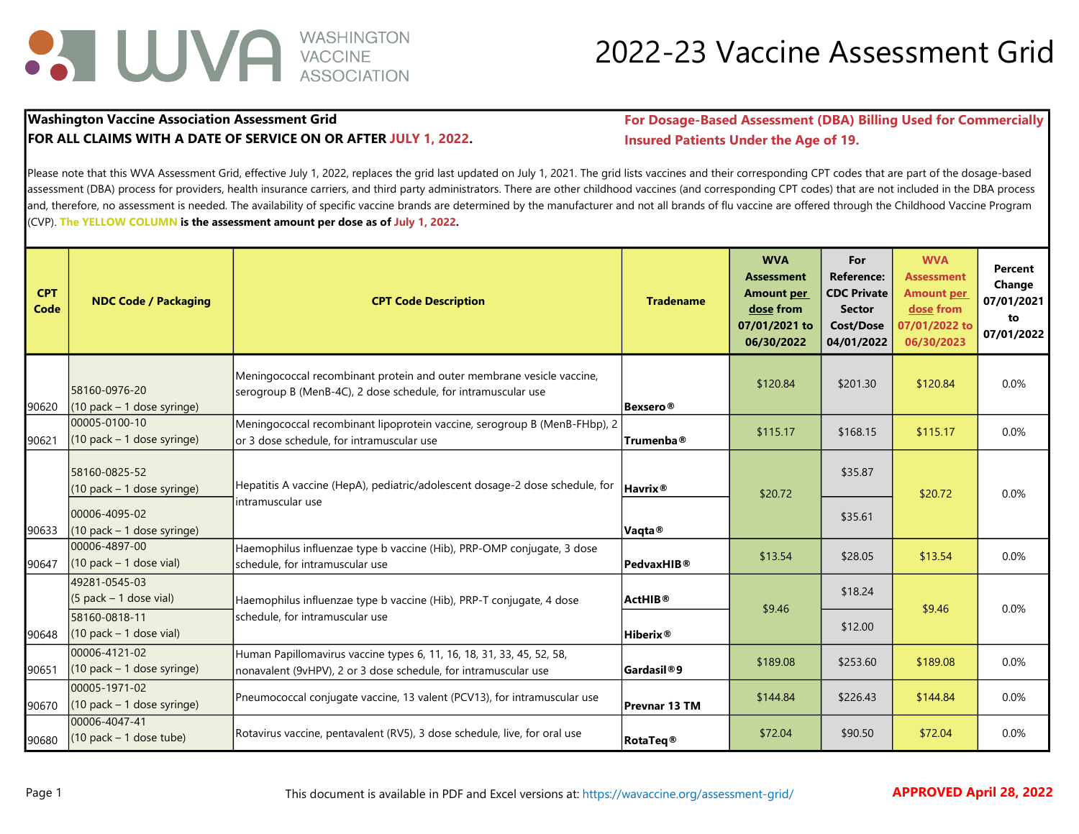

#### 2022-23 Vaccine Assessment Grid

#### FOR ALL CLAIMS WITH A DATE OF SERVICE ON OR AFTER JULY 1, 2022. Insured Patients Under the Age of 19.

Washington Vaccine Association Assessment Grid **For Dosage-Based Assessment (DBA) Billing Used for Commercially** 

Please note that this WVA Assessment Grid, effective July 1, 2022, replaces the grid last updated on July 1, 2021. The grid lists vaccines and their corresponding CPT codes that are part of the dosage-based assessment (DBA) process for providers, health insurance carriers, and third party administrators. There are other childhood vaccines (and corresponding CPT codes) that are not included in the DBA process and, therefore, no assessment is needed. The availability of specific vaccine brands are determined by the manufacturer and not all brands of flu vaccine are offered through the Childhood Vaccine Program (CVP). The YELLOW COLUMN is the assessment amount per dose as of July 1, 2022.

| <b>CPT</b><br>Code | <b>NDC Code / Packaging</b>                    | <b>CPT Code Description</b>                                                                                                              | <b>Tradename</b>      | <b>WVA</b><br><b>Assessment</b><br>Amount per<br>dose from<br>07/01/2021 to<br>06/30/2022 | For<br><b>Reference:</b><br><b>CDC Private</b><br><b>Sector</b><br><b>Cost/Dose</b><br>04/01/2022 | <b>WVA</b><br><b>Assessment</b><br><b>Amount per</b><br>dose from<br>07/01/2022 to<br>06/30/2023 | Percent<br>Change<br>07/01/2021<br>to<br>07/01/2022 |
|--------------------|------------------------------------------------|------------------------------------------------------------------------------------------------------------------------------------------|-----------------------|-------------------------------------------------------------------------------------------|---------------------------------------------------------------------------------------------------|--------------------------------------------------------------------------------------------------|-----------------------------------------------------|
| 90620              | 58160-0976-20<br>(10 pack - 1 dose syringe)    | Meningococcal recombinant protein and outer membrane vesicle vaccine,<br>serogroup B (MenB-4C), 2 dose schedule, for intramuscular use   | Bexsero®              | \$120.84                                                                                  | \$201.30                                                                                          | \$120.84                                                                                         | 0.0%                                                |
| 90621              | 00005-0100-10<br>$(10$ pack - 1 dose syringe)  | Meningococcal recombinant lipoprotein vaccine, serogroup B (MenB-FHbp), 2<br>or 3 dose schedule, for intramuscular use                   | Trumenba <sup>®</sup> | \$115.17                                                                                  | \$168.15                                                                                          | \$115.17                                                                                         | 0.0%                                                |
|                    | 58160-0825-52<br>$(10$ pack $-1$ dose syringe) | Hepatitis A vaccine (HepA), pediatric/adolescent dosage-2 dose schedule, for                                                             | Havrix <sup>®</sup>   | \$20.72                                                                                   | \$35.87                                                                                           | \$20.72                                                                                          | 0.0%                                                |
| 90633              | 00006-4095-02<br>$(10$ pack – 1 dose syringe)  | intramuscular use                                                                                                                        | Vaqta <sup>®</sup>    |                                                                                           | \$35.61                                                                                           |                                                                                                  |                                                     |
| 90647              | 00006-4897-00<br>$(10$ pack $-1$ dose vial)    | Haemophilus influenzae type b vaccine (Hib), PRP-OMP conjugate, 3 dose<br>schedule, for intramuscular use                                | PedvaxHIB®            | \$13.54                                                                                   | \$28.05                                                                                           | \$13.54                                                                                          | 0.0%                                                |
|                    | 49281-0545-03<br>$(5$ pack – 1 dose vial)      | Haemophilus influenzae type b vaccine (Hib), PRP-T conjugate, 4 dose                                                                     | ActHIB®               | \$9.46                                                                                    | \$18.24                                                                                           | \$9.46                                                                                           | 0.0%                                                |
| 90648              | 58160-0818-11<br>$(10$ pack - 1 dose vial)     | schedule, for intramuscular use                                                                                                          | Hiberix®              |                                                                                           | \$12.00                                                                                           |                                                                                                  |                                                     |
| 90651              | 00006-4121-02<br>$(10$ pack – 1 dose syringe)  | Human Papillomavirus vaccine types 6, 11, 16, 18, 31, 33, 45, 52, 58,<br>nonavalent (9vHPV), 2 or 3 dose schedule, for intramuscular use | <b>Gardasil®9</b>     | \$189.08                                                                                  | \$253.60                                                                                          | \$189.08                                                                                         | 0.0%                                                |
| 90670              | 00005-1971-02<br>$(10$ pack - 1 dose syringe)  | Pneumococcal conjugate vaccine, 13 valent (PCV13), for intramuscular use                                                                 | Prevnar 13 TM         | \$144.84                                                                                  | \$226.43                                                                                          | \$144.84                                                                                         | 0.0%                                                |
| 90680              | 00006-4047-41<br>$(10$ pack - 1 dose tube)     | Rotavirus vaccine, pentavalent (RV5), 3 dose schedule, live, for oral use                                                                | RotaTeq <sup>®</sup>  | \$72.04                                                                                   | \$90.50                                                                                           | \$72.04                                                                                          | 0.0%                                                |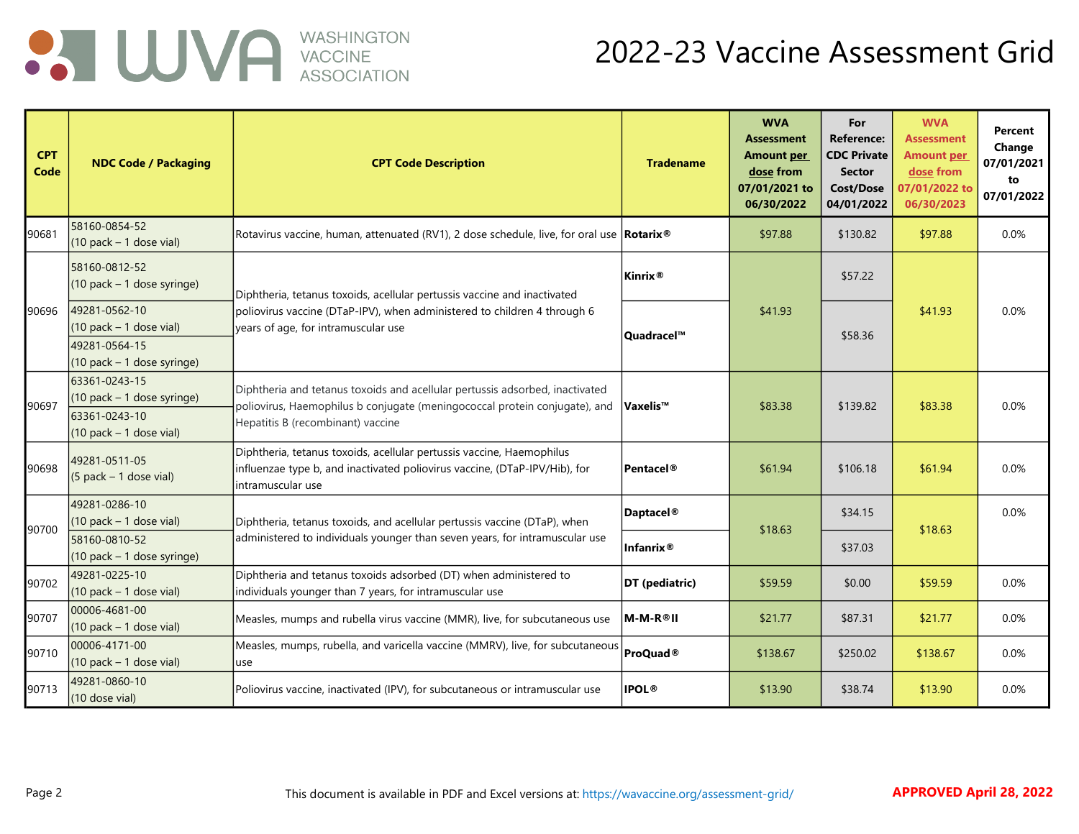

| <b>CPT</b><br>Code | <b>NDC Code / Packaging</b>                                                                 | <b>CPT Code Description</b>                                                                                                                                                                     | <b>Tradename</b>      | <b>WVA</b><br><b>Assessment</b><br><b>Amount per</b><br>dose from<br>07/01/2021 to<br>06/30/2022 | For<br><b>Reference:</b><br><b>CDC Private</b><br><b>Sector</b><br>Cost/Dose<br>04/01/2022 | <b>WVA</b><br><b>Assessment</b><br><b>Amount per</b><br>dose from<br>07/01/2022 to<br>06/30/2023 | Percent<br>Change<br>07/01/2021<br>to<br>07/01/2022 |
|--------------------|---------------------------------------------------------------------------------------------|-------------------------------------------------------------------------------------------------------------------------------------------------------------------------------------------------|-----------------------|--------------------------------------------------------------------------------------------------|--------------------------------------------------------------------------------------------|--------------------------------------------------------------------------------------------------|-----------------------------------------------------|
| 90681              | 58160-0854-52<br>$(10$ pack - 1 dose vial)                                                  | Rotavirus vaccine, human, attenuated (RV1), 2 dose schedule, live, for oral use <b>Rotarix</b> <sup>®</sup>                                                                                     |                       | \$97.88                                                                                          | \$130.82                                                                                   | \$97.88                                                                                          | 0.0%                                                |
|                    | 58160-0812-52<br>(10 pack - 1 dose syringe)                                                 | Diphtheria, tetanus toxoids, acellular pertussis vaccine and inactivated                                                                                                                        | Kinrix <sup>®</sup>   |                                                                                                  | \$57.22                                                                                    |                                                                                                  |                                                     |
| 90696              | 49281-0562-10<br>$(10$ pack - 1 dose vial)<br>49281-0564-15<br>$(10$ pack - 1 dose syringe) | poliovirus vaccine (DTaP-IPV), when administered to children 4 through 6<br>years of age, for intramuscular use                                                                                 | Quadracel™            | \$41.93                                                                                          | \$58.36                                                                                    | \$41.93                                                                                          | 0.0%                                                |
| 90697              | 63361-0243-15<br>(10 pack - 1 dose syringe)<br>63361-0243-10<br>$(10$ pack $-1$ dose vial)  | Diphtheria and tetanus toxoids and acellular pertussis adsorbed, inactivated<br>poliovirus, Haemophilus b conjugate (meningococcal protein conjugate), and<br>Hepatitis B (recombinant) vaccine | ∣Vaxelis™             | \$83.38                                                                                          | \$139.82                                                                                   | \$83.38                                                                                          | 0.0%                                                |
| 90698              | 49281-0511-05<br>$(5$ pack - 1 dose vial)                                                   | Diphtheria, tetanus toxoids, acellular pertussis vaccine, Haemophilus<br>influenzae type b, and inactivated poliovirus vaccine, (DTaP-IPV/Hib), for<br>intramuscular use                        | Pentacel®             | \$61.94                                                                                          | \$106.18                                                                                   | \$61.94                                                                                          | 0.0%                                                |
|                    | 49281-0286-10<br>$(10$ pack - 1 dose vial)                                                  | Diphtheria, tetanus toxoids, and acellular pertussis vaccine (DTaP), when                                                                                                                       | Daptacel <sup>®</sup> |                                                                                                  | \$34.15                                                                                    |                                                                                                  | 0.0%                                                |
| 90700              | 58160-0810-52<br>$(10$ pack - 1 dose syringe)                                               | administered to individuals younger than seven years, for intramuscular use                                                                                                                     | Infanrix <sup>®</sup> | \$18.63                                                                                          | \$18.63<br>\$37.03                                                                         |                                                                                                  |                                                     |
| 90702              | 49281-0225-10<br>$(10$ pack - 1 dose vial)                                                  | Diphtheria and tetanus toxoids adsorbed (DT) when administered to<br>individuals younger than 7 years, for intramuscular use                                                                    | DT (pediatric)        | \$59.59                                                                                          | \$0.00                                                                                     | \$59.59                                                                                          | 0.0%                                                |
| 90707              | 00006-4681-00<br>$(10$ pack - 1 dose vial)                                                  | Measles, mumps and rubella virus vaccine (MMR), live, for subcutaneous use                                                                                                                      | lM-M-R®II             | \$21.77                                                                                          | \$87.31                                                                                    | \$21.77                                                                                          | 0.0%                                                |
| 90710              | 00006-4171-00<br>$(10$ pack - 1 dose vial)                                                  | Measles, mumps, rubella, and varicella vaccine (MMRV), live, for subcutaneous<br>use                                                                                                            | ProQuad <sup>®</sup>  | \$138.67                                                                                         | \$250.02                                                                                   | \$138.67                                                                                         | 0.0%                                                |
| 90713              | 49281-0860-10<br>(10 dose vial)                                                             | Poliovirus vaccine, inactivated (IPV), for subcutaneous or intramuscular use                                                                                                                    | <b>IPOL®</b>          | \$13.90                                                                                          | \$38.74                                                                                    | \$13.90                                                                                          | 0.0%                                                |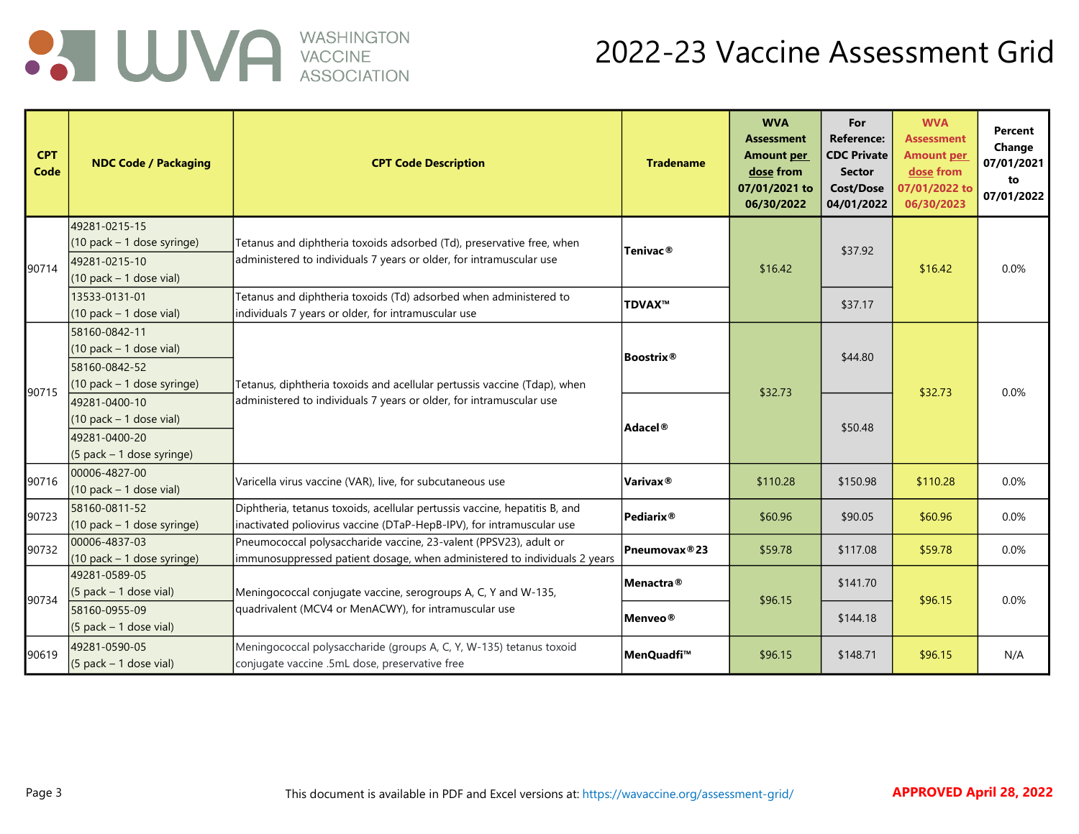

| <b>CPT</b><br>Code | <b>NDC Code / Packaging</b>                | <b>CPT Code Description</b>                                                | <b>Tradename</b>          | <b>WVA</b><br><b>Assessment</b><br><b>Amount per</b><br>dose from<br>07/01/2021 to<br>06/30/2022 | For<br><b>Reference:</b><br><b>CDC Private</b><br><b>Sector</b><br><b>Cost/Dose</b><br>04/01/2022 | <b>WVA</b><br><b>Assessment</b><br><b>Amount per</b><br>dose from<br>07/01/2022 to<br>06/30/2023 | Percent<br>Change<br>07/01/2021<br>to<br>07/01/2022 |
|--------------------|--------------------------------------------|----------------------------------------------------------------------------|---------------------------|--------------------------------------------------------------------------------------------------|---------------------------------------------------------------------------------------------------|--------------------------------------------------------------------------------------------------|-----------------------------------------------------|
|                    | 49281-0215-15                              |                                                                            |                           |                                                                                                  |                                                                                                   |                                                                                                  |                                                     |
|                    | (10 pack - 1 dose syringe)                 | Tetanus and diphtheria toxoids adsorbed (Td), preservative free, when      | Tenivac <sup>®</sup>      |                                                                                                  | \$37.92                                                                                           |                                                                                                  |                                                     |
| 90714              | 49281-0215-10                              | administered to individuals 7 years or older, for intramuscular use        |                           | \$16.42                                                                                          |                                                                                                   | \$16.42                                                                                          | 0.0%                                                |
|                    | $(10$ pack – 1 dose vial)                  |                                                                            |                           |                                                                                                  |                                                                                                   |                                                                                                  |                                                     |
|                    | 13533-0131-01                              | Tetanus and diphtheria toxoids (Td) adsorbed when administered to          | TDVAX™                    |                                                                                                  | \$37.17                                                                                           |                                                                                                  |                                                     |
|                    | $(10$ pack - 1 dose vial)                  | individuals 7 years or older, for intramuscular use                        |                           |                                                                                                  |                                                                                                   |                                                                                                  |                                                     |
|                    | 58160-0842-11                              |                                                                            |                           |                                                                                                  |                                                                                                   |                                                                                                  |                                                     |
|                    | $(10$ pack - 1 dose vial)                  |                                                                            | Boostrix®                 |                                                                                                  | \$44.80                                                                                           |                                                                                                  |                                                     |
|                    | 58160-0842-52                              |                                                                            |                           |                                                                                                  |                                                                                                   |                                                                                                  |                                                     |
| 90715              | (10 pack - 1 dose syringe)                 | Tetanus, diphtheria toxoids and acellular pertussis vaccine (Tdap), when   |                           | \$32.73                                                                                          |                                                                                                   | \$32.73                                                                                          | 0.0%                                                |
|                    | 49281-0400-10                              | administered to individuals 7 years or older, for intramuscular use        |                           |                                                                                                  |                                                                                                   |                                                                                                  |                                                     |
|                    | $(10$ pack - 1 dose vial)                  |                                                                            | Adacel®                   |                                                                                                  | \$50.48                                                                                           |                                                                                                  |                                                     |
|                    | 49281-0400-20                              |                                                                            |                           |                                                                                                  |                                                                                                   |                                                                                                  |                                                     |
|                    | (5 pack - 1 dose syringe)                  |                                                                            |                           |                                                                                                  |                                                                                                   |                                                                                                  |                                                     |
| 90716              | 00006-4827-00<br>$(10$ pack - 1 dose vial) | Varicella virus vaccine (VAR), live, for subcutaneous use                  | Varivax <sup>®</sup>      | \$110.28                                                                                         | \$150.98                                                                                          | \$110.28                                                                                         | 0.0%                                                |
|                    | 58160-0811-52                              | Diphtheria, tetanus toxoids, acellular pertussis vaccine, hepatitis B, and |                           |                                                                                                  |                                                                                                   |                                                                                                  |                                                     |
| 90723              | (10 pack - 1 dose syringe)                 | inactivated poliovirus vaccine (DTaP-HepB-IPV), for intramuscular use      | $Pe$ diarix $@$           | \$60.96                                                                                          | \$90.05                                                                                           | \$60.96                                                                                          | 0.0%                                                |
|                    | 00006-4837-03                              | Pneumococcal polysaccharide vaccine, 23-valent (PPSV23), adult or          |                           |                                                                                                  |                                                                                                   |                                                                                                  |                                                     |
| 90732              | (10 pack - 1 dose syringe)                 | immunosuppressed patient dosage, when administered to individuals 2 years  | Pneumovax <sup>®</sup> 23 | \$59.78                                                                                          | \$117.08                                                                                          | \$59.78                                                                                          | 0.0%                                                |
|                    | 49281-0589-05                              |                                                                            | Menactra <sup>®</sup>     |                                                                                                  | \$141.70                                                                                          |                                                                                                  |                                                     |
| 90734              | $(5$ pack – 1 dose vial)                   | Meningococcal conjugate vaccine, serogroups A, C, Y and W-135,             |                           | \$96.15                                                                                          |                                                                                                   | \$96.15                                                                                          | 0.0%                                                |
|                    | 58160-0955-09                              | quadrivalent (MCV4 or MenACWY), for intramuscular use                      | Menveo®                   |                                                                                                  | \$144.18                                                                                          |                                                                                                  |                                                     |
|                    | $(5$ pack - 1 dose vial)                   |                                                                            |                           |                                                                                                  |                                                                                                   |                                                                                                  |                                                     |
| 90619              | 49281-0590-05                              | Meningococcal polysaccharide (groups A, C, Y, W-135) tetanus toxoid        | MenQuadfi™                | \$96.15                                                                                          | \$148.71                                                                                          | \$96.15                                                                                          | N/A                                                 |
|                    | $(5$ pack - 1 dose vial)                   | conjugate vaccine .5mL dose, preservative free                             |                           |                                                                                                  |                                                                                                   |                                                                                                  |                                                     |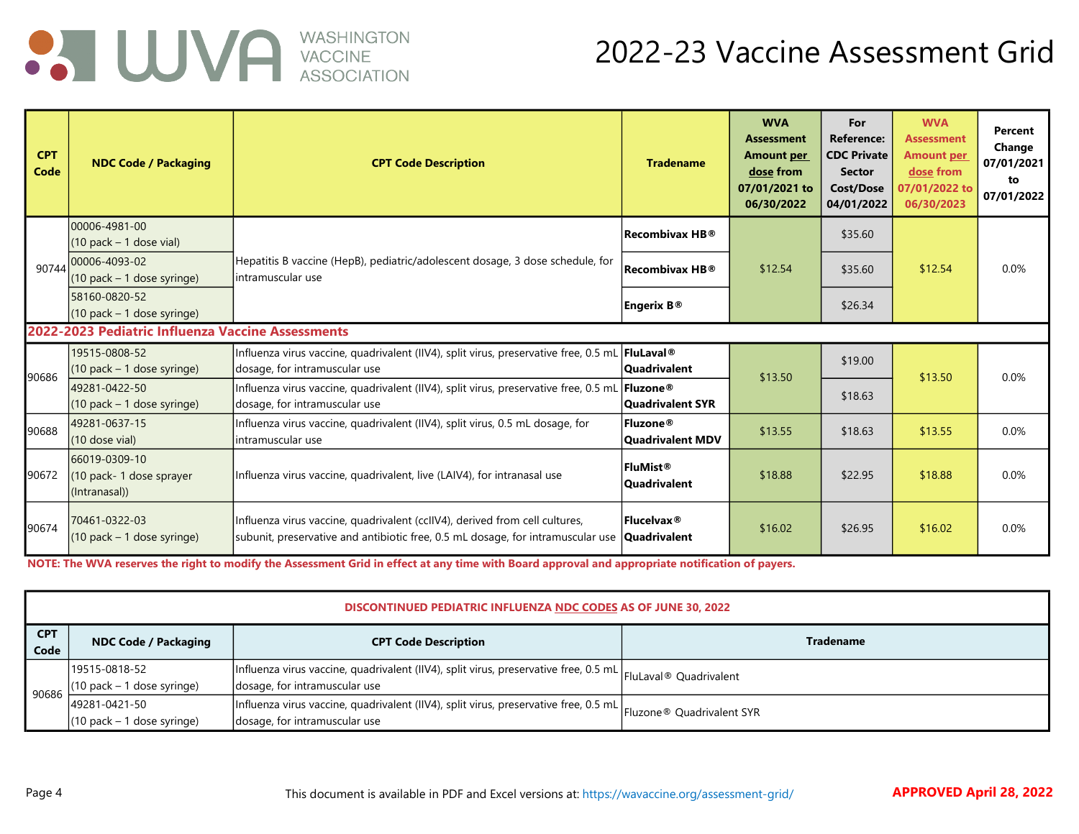

#### 2022-23 Vaccine Assessment Grid

| <b>CPT</b><br>Code | <b>NDC Code / Packaging</b>                               | <b>CPT Code Description</b>                                                                                                                                    | <b>Tradename</b>                | <b>WVA</b><br><b>Assessment</b><br><b>Amount per</b><br>dose from<br>07/01/2021 to<br>06/30/2022 | For<br><b>Reference:</b><br><b>CDC Private</b><br><b>Sector</b><br><b>Cost/Dose</b><br>04/01/2022 | <b>WVA</b><br><b>Assessment</b><br><b>Amount per</b><br>dose from<br>07/01/2022 to<br>06/30/2023 | Percent<br>Change<br>07/01/2021<br>to<br>07/01/2022 |
|--------------------|-----------------------------------------------------------|----------------------------------------------------------------------------------------------------------------------------------------------------------------|---------------------------------|--------------------------------------------------------------------------------------------------|---------------------------------------------------------------------------------------------------|--------------------------------------------------------------------------------------------------|-----------------------------------------------------|
|                    | 00006-4981-00<br>$(10$ pack – 1 dose vial)                |                                                                                                                                                                | <b>Recombivax HB®</b>           |                                                                                                  | \$35.60                                                                                           |                                                                                                  |                                                     |
| 90744              | 100006-4093-02<br>$(10$ pack - 1 dose syringe)            | Hepatitis B vaccine (HepB), pediatric/adolescent dosage, 3 dose schedule, for<br>lintramuscular use                                                            | $ $ Recombivax HB $^{\circ}\!$  | \$12.54                                                                                          | \$35.60                                                                                           | \$12.54                                                                                          | 0.0%                                                |
|                    | 58160-0820-52<br>$(10$ pack – 1 dose syringe)             |                                                                                                                                                                | Engerix B®                      |                                                                                                  | \$26.34                                                                                           |                                                                                                  |                                                     |
|                    | 2022-2023 Pediatric Influenza Vaccine Assessments         |                                                                                                                                                                |                                 |                                                                                                  |                                                                                                   |                                                                                                  |                                                     |
| 90686              | 19515-0808-52<br>$(10$ pack - 1 dose syringe)             | Influenza virus vaccine, quadrivalent (IIV4), split virus, preservative free, 0.5 mL FluLaval®<br>dosage, for intramuscular use                                | <b>Quadrivalent</b>             | \$13.50                                                                                          | \$19.00                                                                                           | \$13.50                                                                                          | 0.0%                                                |
|                    | 49281-0422-50<br>$(10$ pack – 1 dose syringe)             | Influenza virus vaccine, quadrivalent (IIV4), split virus, preservative free, 0.5 mL <b>Fluzone</b> ®<br>dosage, for intramuscular use                         | Quadrivalent SYR                |                                                                                                  | \$18.63                                                                                           |                                                                                                  |                                                     |
| 90688              | 49281-0637-15<br>(10 dose vial)                           | Influenza virus vaccine, quadrivalent (IIV4), split virus, 0.5 mL dosage, for<br>lintramuscular use                                                            | Fluzone®<br>Quadrivalent MDV    | \$13.55                                                                                          | \$18.63                                                                                           | \$13.55                                                                                          | 0.0%                                                |
| 90672              | 66019-0309-10<br>(10 pack-1 dose sprayer<br>(Intranasal)) | Influenza virus vaccine, quadrivalent, live (LAIV4), for intranasal use                                                                                        | FluMist®<br><b>Quadrivalent</b> | \$18.88                                                                                          | \$22.95                                                                                           | \$18.88                                                                                          | 0.0%                                                |
| 90674              | 70461-0322-03<br>$(10$ pack – 1 dose syringe)             | Influenza virus vaccine, quadrivalent (cclIV4), derived from cell cultures,<br>subunit, preservative and antibiotic free, 0.5 mL dosage, for intramuscular use | Flucelvax ®<br>Quadrivalent     | \$16.02                                                                                          | \$26.95                                                                                           | \$16.02                                                                                          | 0.0%                                                |

NOTE: The WVA reserves the right to modify the Assessment Grid in effect at any time with Board approval and appropriate notification of payers.

|                    | <b>DISCONTINUED PEDIATRIC INFLUENZA NDC CODES AS OF JUNE 30, 2022</b> |                                                                                                                                                  |                  |  |  |  |  |  |
|--------------------|-----------------------------------------------------------------------|--------------------------------------------------------------------------------------------------------------------------------------------------|------------------|--|--|--|--|--|
| <b>CPT</b><br>Code | <b>NDC Code / Packaging</b>                                           | <b>CPT Code Description</b>                                                                                                                      | <b>Tradename</b> |  |  |  |  |  |
| 90686              | 19515-0818-52<br>(10 pack - 1 dose syringe)                           | Influenza virus vaccine, quadrivalent (IIV4), split virus, preservative free, 0.5 mL FluLaval® Quadrivalent<br>dosage, for intramuscular use     |                  |  |  |  |  |  |
|                    | 49281-0421-50<br>$(10$ pack – 1 dose syringe)                         | Influenza virus vaccine, quadrivalent (IIV4), split virus, preservative free, 0.5 mL  Fluzone® Quadrivalent SYR<br>dosage, for intramuscular use |                  |  |  |  |  |  |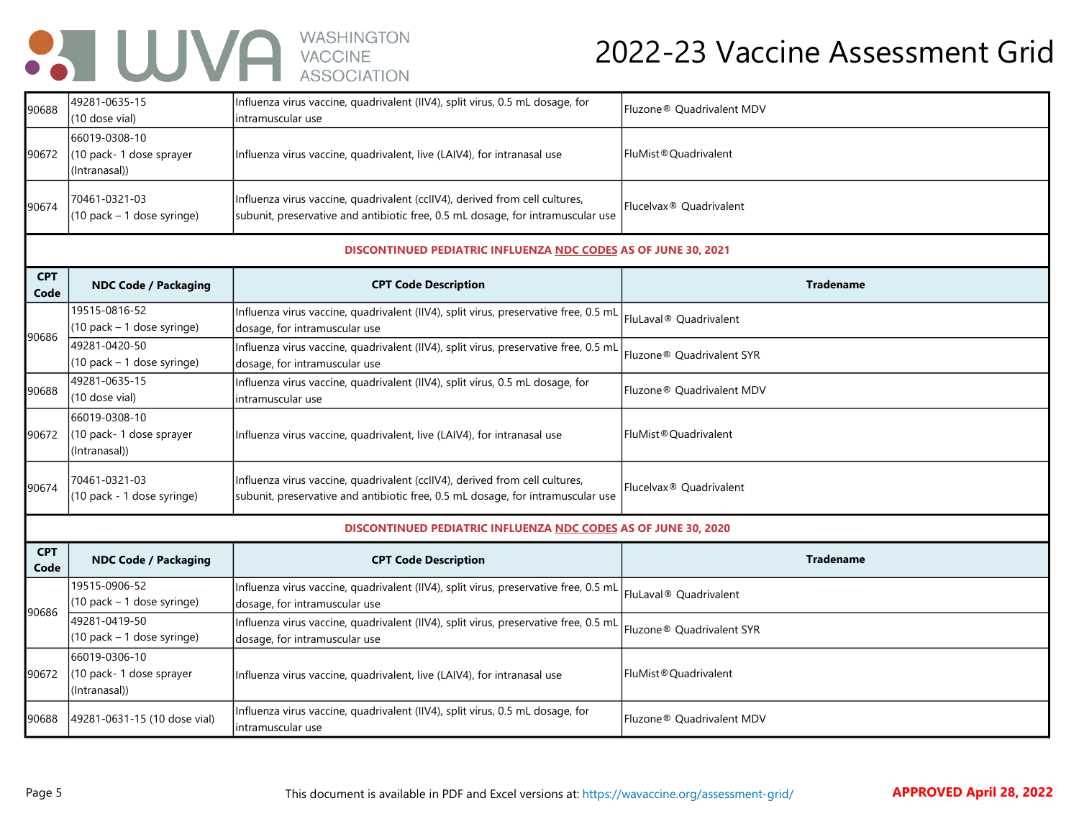## **ON UUVA** WASHINGTON

#### 2022-23 Vaccine Assessment Grid

|                    |                                                            | , 100001, 111011                                                                                                                                               |                                       |
|--------------------|------------------------------------------------------------|----------------------------------------------------------------------------------------------------------------------------------------------------------------|---------------------------------------|
| 90688              | 49281-0635-15<br>(10 dose vial)                            | Influenza virus vaccine, quadrivalent (IIV4), split virus, 0.5 mL dosage, for<br>intramuscular use                                                             | Fluzone® Quadrivalent MDV             |
| 90672              | 66019-0308-10<br>(10 pack- 1 dose sprayer<br>(Intranasal)) | Influenza virus vaccine, quadrivalent, live (LAIV4), for intranasal use                                                                                        | FluMist®Quadrivalent                  |
| 90674              | 70461-0321-03<br>$(10$ pack - 1 dose syringe)              | Influenza virus vaccine, quadrivalent (cclIV4), derived from cell cultures,<br>subunit, preservative and antibiotic free, 0.5 mL dosage, for intramuscular use | Flucelvax <sup>®</sup> Quadrivalent   |
|                    |                                                            | DISCONTINUED PEDIATRIC INFLUENZA NDC CODES AS OF JUNE 30, 2021                                                                                                 |                                       |
| <b>CPT</b><br>Code | <b>NDC Code / Packaging</b>                                | <b>CPT Code Description</b>                                                                                                                                    | <b>Tradename</b>                      |
| 90686              | 19515-0816-52<br>(10 pack - 1 dose syringe)                | Influenza virus vaccine, quadrivalent (IIV4), split virus, preservative free, 0.5 mL<br>dosage, for intramuscular use                                          | FluLaval® Quadrivalent                |
|                    | 49281-0420-50<br>(10 pack - 1 dose syringe)                | Influenza virus vaccine, quadrivalent (IIV4), split virus, preservative free, 0.5 mL<br>dosage, for intramuscular use                                          | Fluzone® Quadrivalent SYR             |
| 90688              | 49281-0635-15<br>(10 dose vial)                            | Influenza virus vaccine, quadrivalent (IIV4), split virus, 0.5 mL dosage, for<br>intramuscular use                                                             | Fluzone® Quadrivalent MDV             |
| 90672              | 66019-0308-10<br>(10 pack-1 dose sprayer<br>(Intranasal))  | Influenza virus vaccine, quadrivalent, live (LAIV4), for intranasal use                                                                                        | FluMist <sup>®</sup> Quadrivalent     |
| 90674              | 70461-0321-03<br>(10 pack - 1 dose syringe)                | Influenza virus vaccine, quadrivalent (cclIV4), derived from cell cultures,<br>subunit, preservative and antibiotic free, 0.5 mL dosage, for intramuscular use | Flucelvax <sup>®</sup> Quadrivalent   |
|                    |                                                            | <b>DISCONTINUED PEDIATRIC INFLUENZA NDC CODES AS OF JUNE 30, 2020</b>                                                                                          |                                       |
| <b>CPT</b><br>Code | <b>NDC Code / Packaging</b>                                | <b>CPT Code Description</b>                                                                                                                                    | <b>Tradename</b>                      |
| 90686              | 19515-0906-52<br>(10 pack - 1 dose syringe)                | Influenza virus vaccine, quadrivalent (IIV4), split virus, preservative free, 0.5 mL<br>dosage, for intramuscular use                                          | FluLaval® Quadrivalent                |
|                    | 49281-0419-50<br>$(10$ pack - 1 dose syringe)              | Influenza virus vaccine, quadrivalent (IIV4), split virus, preservative free, 0.5 mL<br>dosage, for intramuscular use                                          | Fluzone <sup>®</sup> Quadrivalent SYR |
|                    | 66019-0306-10                                              |                                                                                                                                                                |                                       |

90672

(10 pack- 1 dose sprayer

(Intranasal))

FluMist®Quadrivalent

Fluzone® Quadrivalent MDV

Influenza virus vaccine, quadrivalent, live (LAIV4), for intranasal use

90688 49281-0631-15 (10 dose vial) Influenza virus vaccine, quadrivalent (IIV4), split virus, 0.5 mL dosage, for

intramuscular use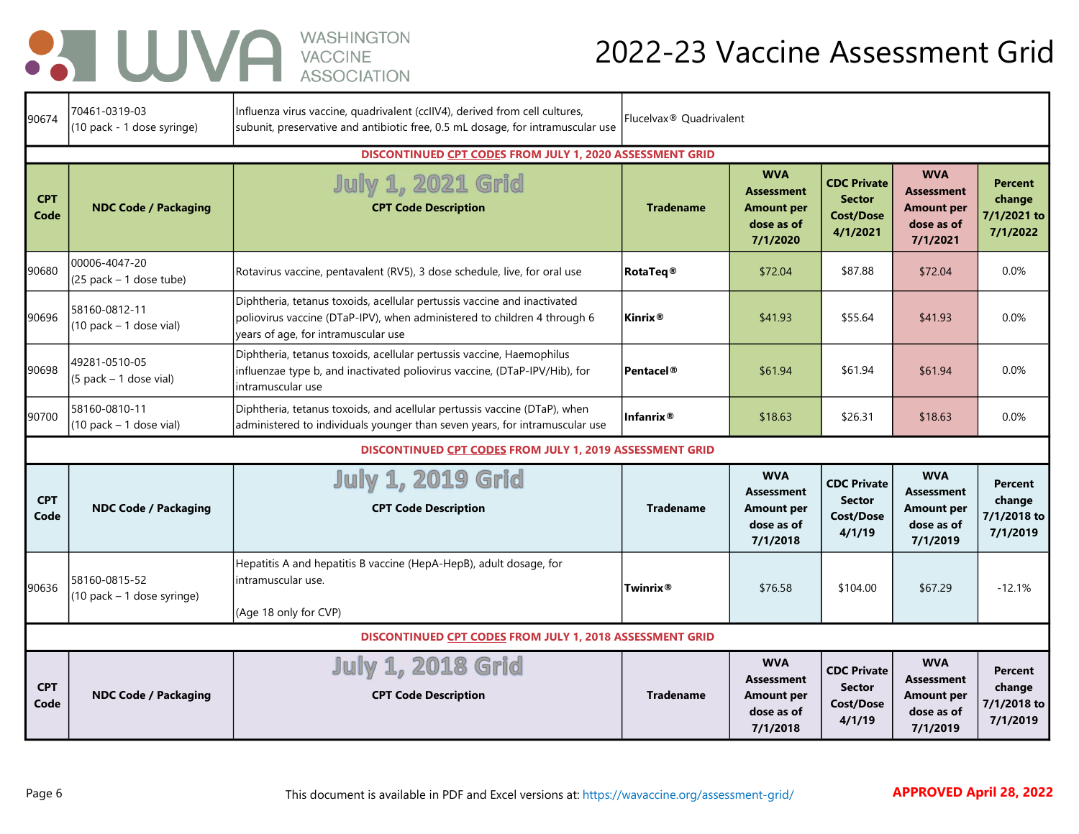## **BUVA** WASHINGTON

#### 2022-23 Vaccine Assessment Grid

| 90674              | 70461-0319-03<br>(10 pack - 1 dose syringe) | Influenza virus vaccine, quadrivalent (ccllV4), derived from cell cultures,<br>subunit, preservative and antibiotic free, 0.5 mL dosage, for intramuscular use                              | Flucelvax <sup>®</sup> Quadrivalent |                                                                                |                                                                     |                                                                                |                                                     |
|--------------------|---------------------------------------------|---------------------------------------------------------------------------------------------------------------------------------------------------------------------------------------------|-------------------------------------|--------------------------------------------------------------------------------|---------------------------------------------------------------------|--------------------------------------------------------------------------------|-----------------------------------------------------|
| <b>CPT</b><br>Code | <b>NDC Code / Packaging</b>                 | DISCONTINUED CPT CODES FROM JULY 1, 2020 ASSESSMENT GRID<br><b>July 1, 2021 Grid</b><br><b>CPT Code Description</b>                                                                         | <b>Tradename</b>                    | <b>WVA</b><br><b>Assessment</b><br>Amount per<br>dose as of<br>7/1/2020        | <b>CDC Private</b><br><b>Sector</b><br><b>Cost/Dose</b><br>4/1/2021 | <b>WVA</b><br><b>Assessment</b><br><b>Amount per</b><br>dose as of<br>7/1/2021 | <b>Percent</b><br>change<br>7/1/2021 to<br>7/1/2022 |
| 90680              | 00006-4047-20<br>$(25$ pack – 1 dose tube)  | Rotavirus vaccine, pentavalent (RV5), 3 dose schedule, live, for oral use                                                                                                                   | <b>RotaTeq®</b>                     | \$72.04                                                                        | \$87.88                                                             | \$72.04                                                                        | 0.0%                                                |
| 90696              | 58160-0812-11<br>$(10$ pack - 1 dose vial)  | Diphtheria, tetanus toxoids, acellular pertussis vaccine and inactivated<br>poliovirus vaccine (DTaP-IPV), when administered to children 4 through 6<br>years of age, for intramuscular use | <b>Kinrix</b> <sup>®</sup>          | \$41.93                                                                        | \$55.64                                                             | \$41.93                                                                        | 0.0%                                                |
| 90698              | 49281-0510-05<br>$(5$ pack – 1 dose vial)   | Diphtheria, tetanus toxoids, acellular pertussis vaccine, Haemophilus<br>influenzae type b, and inactivated poliovirus vaccine, (DTaP-IPV/Hib), for<br>intramuscular use                    | <b>Pentacel®</b>                    | \$61.94                                                                        | \$61.94                                                             | \$61.94                                                                        | 0.0%                                                |
| 90700              | 58160-0810-11<br>$(10$ pack – 1 dose vial)  | Diphtheria, tetanus toxoids, and acellular pertussis vaccine (DTaP), when<br>administered to individuals younger than seven years, for intramuscular use                                    | Infanrix $\circledR$                | \$18.63                                                                        | \$26.31                                                             | \$18.63                                                                        | 0.0%                                                |
|                    |                                             | DISCONTINUED CPT CODES FROM JULY 1, 2019 ASSESSMENT GRID                                                                                                                                    |                                     |                                                                                |                                                                     |                                                                                |                                                     |
| <b>CPT</b><br>Code | <b>NDC Code / Packaging</b>                 | <b>July 1, 2019 Grid</b><br><b>CPT Code Description</b>                                                                                                                                     | <b>Tradename</b>                    | <b>WVA</b><br><b>Assessment</b><br>Amount per<br>dose as of<br>7/1/2018        | <b>CDC Private</b><br><b>Sector</b><br><b>Cost/Dose</b><br>4/1/19   | <b>WVA</b><br>Assessment<br><b>Amount per</b><br>dose as of<br>7/1/2019        | <b>Percent</b><br>change<br>7/1/2018 to<br>7/1/2019 |
| 90636              | 58160-0815-52<br>(10 pack - 1 dose syringe) | Hepatitis A and hepatitis B vaccine (HepA-HepB), adult dosage, for<br>intramuscular use.<br>(Age 18 only for CVP)                                                                           | <b>Twinrix®</b>                     | \$76.58                                                                        | \$104.00                                                            | \$67.29                                                                        | $-12.1%$                                            |
|                    |                                             | <b>DISCONTINUED CPT CODES FROM JULY 1, 2018 ASSESSMENT GRID</b>                                                                                                                             |                                     |                                                                                |                                                                     |                                                                                |                                                     |
| <b>CPT</b><br>Code | <b>NDC Code / Packaging</b>                 | <b>July 1, 2018 Grid</b><br><b>CPT Code Description</b>                                                                                                                                     | <b>Tradename</b>                    | <b>WVA</b><br><b>Assessment</b><br><b>Amount per</b><br>dose as of<br>7/1/2018 | <b>CDC Private</b><br><b>Sector</b><br>Cost/Dose<br>4/1/19          | <b>WVA</b><br>Assessment<br><b>Amount per</b><br>dose as of<br>7/1/2019        | Percent<br>change<br>7/1/2018 to<br>7/1/2019        |